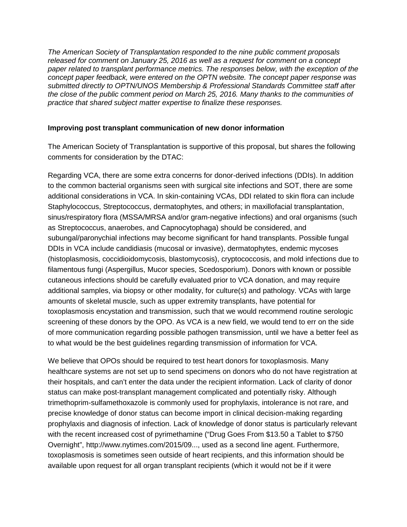*The American Society of Transplantation responded to the nine public comment proposals released for comment on January 25, 2016 as well as a request for comment on a concept paper related to transplant performance metrics. The responses below, with the exception of the concept paper feedback, were entered on the OPTN website. The concept paper response was submitted directly to OPTN/UNOS Membership & Professional Standards Committee staff after the close of the public comment period on March 25, 2016. Many thanks to the communities of practice that shared subject matter expertise to finalize these responses.*

## **Improving post transplant communication of new donor information**

The American Society of Transplantation is supportive of this proposal, but shares the following comments for consideration by the DTAC:

Regarding VCA, there are some extra concerns for donor-derived infections (DDIs). In addition to the common bacterial organisms seen with surgical site infections and SOT, there are some additional considerations in VCA. In skin-containing VCAs, DDI related to skin flora can include Staphylococcus, Streptococcus, dermatophytes, and others; in maxillofacial transplantation, sinus/respiratory flora (MSSA/MRSA and/or gram-negative infections) and oral organisms (such as Streptococcus, anaerobes, and Capnocytophaga) should be considered, and subungal/paronychial infections may become significant for hand transplants. Possible fungal DDIs in VCA include candidiasis (mucosal or invasive), dermatophytes, endemic mycoses (histoplasmosis, coccidioidomycosis, blastomycosis), cryptococcosis, and mold infections due to filamentous fungi (Aspergillus, Mucor species, Scedosporium). Donors with known or possible cutaneous infections should be carefully evaluated prior to VCA donation, and may require additional samples, via biopsy or other modality, for culture(s) and pathology. VCAs with large amounts of skeletal muscle, such as upper extremity transplants, have potential for toxoplasmosis encystation and transmission, such that we would recommend routine serologic screening of these donors by the OPO. As VCA is a new field, we would tend to err on the side of more communication regarding possible pathogen transmission, until we have a better feel as to what would be the best guidelines regarding transmission of information for VCA.

We believe that OPOs should be required to test heart donors for toxoplasmosis. Many healthcare systems are not set up to send specimens on donors who do not have registration at their hospitals, and can't enter the data under the recipient information. Lack of clarity of donor status can make post-transplant management complicated and potentially risky. Although trimethoprim-sulfamethoxazole is commonly used for prophylaxis, intolerance is not rare, and precise knowledge of donor status can become import in clinical decision-making regarding prophylaxis and diagnosis of infection. Lack of knowledge of donor status is particularly relevant with the recent increased cost of pyrimethamine ("Drug Goes From \$13.50 a Tablet to \$750 Overnight", [http://www.nytimes.com/2015/09...,](http://www.nytimes.com/2015/09/21/business/a-huge-overnight-increase-in-a-drugs-price-raises-protests.html?_r=0)) used as a second line agent. Furthermore, toxoplasmosis is sometimes seen outside of heart recipients, and this information should be available upon request for all organ transplant recipients (which it would not be if it were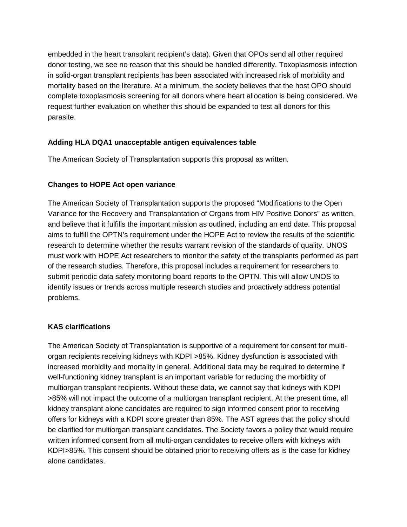embedded in the heart transplant recipient's data). Given that OPOs send all other required donor testing, we see no reason that this should be handled differently. Toxoplasmosis infection in solid-organ transplant recipients has been associated with increased risk of morbidity and mortality based on the literature. At a minimum, the society believes that the host OPO should complete toxoplasmosis screening for all donors where heart allocation is being considered. We request further evaluation on whether this should be expanded to test all donors for this parasite.

## **Adding HLA DQA1 unacceptable antigen equivalences table**

The American Society of Transplantation supports this proposal as written.

### **Changes to HOPE Act open variance**

The American Society of Transplantation supports the proposed "Modifications to the Open Variance for the Recovery and Transplantation of Organs from HIV Positive Donors" as written, and believe that it fulfills the important mission as outlined, including an end date. This proposal aims to fulfill the OPTN's requirement under the HOPE Act to review the results of the scientific research to determine whether the results warrant revision of the standards of quality. UNOS must work with HOPE Act researchers to monitor the safety of the transplants performed as part of the research studies. Therefore, this proposal includes a requirement for researchers to submit periodic data safety monitoring board reports to the OPTN. This will allow UNOS to identify issues or trends across multiple research studies and proactively address potential problems.

## **KAS clarifications**

The American Society of Transplantation is supportive of a requirement for consent for multiorgan recipients receiving kidneys with KDPI >85%. Kidney dysfunction is associated with increased morbidity and mortality in general. Additional data may be required to determine if well-functioning kidney transplant is an important variable for reducing the morbidity of multiorgan transplant recipients. Without these data, we cannot say that kidneys with KDPI >85% will not impact the outcome of a multiorgan transplant recipient. At the present time, all kidney transplant alone candidates are required to sign informed consent prior to receiving offers for kidneys with a KDPI score greater than 85%. The AST agrees that the policy should be clarified for multiorgan transplant candidates. The Society favors a policy that would require written informed consent from all multi-organ candidates to receive offers with kidneys with KDPI>85%. This consent should be obtained prior to receiving offers as is the case for kidney alone candidates.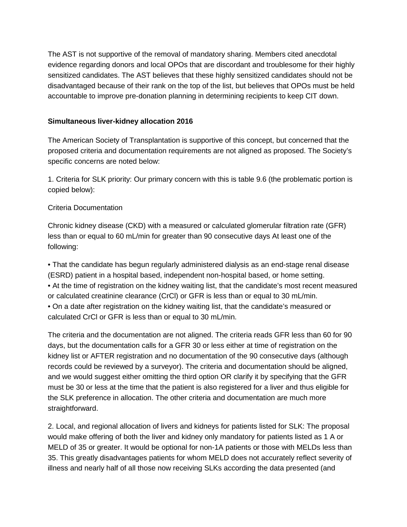The AST is not supportive of the removal of mandatory sharing. Members cited anecdotal evidence regarding donors and local OPOs that are discordant and troublesome for their highly sensitized candidates. The AST believes that these highly sensitized candidates should not be disadvantaged because of their rank on the top of the list, but believes that OPOs must be held accountable to improve pre-donation planning in determining recipients to keep CIT down.

### **Simultaneous liver-kidney allocation 2016**

The American Society of Transplantation is supportive of this concept, but concerned that the proposed criteria and documentation requirements are not aligned as proposed. The Society's specific concerns are noted below:

1. Criteria for SLK priority: Our primary concern with this is table 9.6 (the problematic portion is copied below):

## Criteria Documentation

Chronic kidney disease (CKD) with a measured or calculated glomerular filtration rate (GFR) less than or equal to 60 mL/min for greater than 90 consecutive days At least one of the following:

• That the candidate has begun regularly administered dialysis as an end-stage renal disease (ESRD) patient in a hospital based, independent non-hospital based, or home setting. • At the time of registration on the kidney waiting list, that the candidate's most recent measured or calculated creatinine clearance (CrCl) or GFR is less than or equal to 30 mL/min. • On a date after registration on the kidney waiting list, that the candidate's measured or calculated CrCl or GFR is less than or equal to 30 mL/min.

The criteria and the documentation are not aligned. The criteria reads GFR less than 60 for 90 days, but the documentation calls for a GFR 30 or less either at time of registration on the kidney list or AFTER registration and no documentation of the 90 consecutive days (although records could be reviewed by a surveyor). The criteria and documentation should be aligned, and we would suggest either omitting the third option OR clarify it by specifying that the GFR must be 30 or less at the time that the patient is also registered for a liver and thus eligible for the SLK preference in allocation. The other criteria and documentation are much more straightforward.

2. Local, and regional allocation of livers and kidneys for patients listed for SLK: The proposal would make offering of both the liver and kidney only mandatory for patients listed as 1 A or MELD of 35 or greater. It would be optional for non-1A patients or those with MELDs less than 35. This greatly disadvantages patients for whom MELD does not accurately reflect severity of illness and nearly half of all those now receiving SLKs according the data presented (and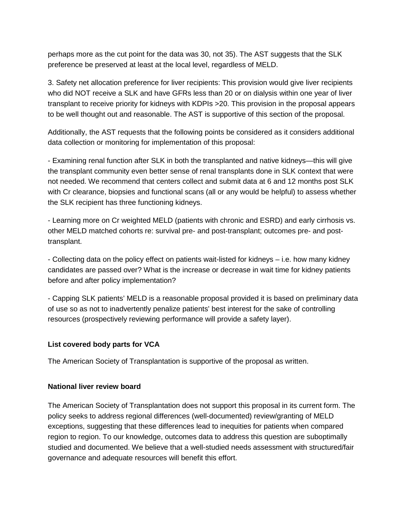perhaps more as the cut point for the data was 30, not 35). The AST suggests that the SLK preference be preserved at least at the local level, regardless of MELD.

3. Safety net allocation preference for liver recipients: This provision would give liver recipients who did NOT receive a SLK and have GFRs less than 20 or on dialysis within one year of liver transplant to receive priority for kidneys with KDPIs >20. This provision in the proposal appears to be well thought out and reasonable. The AST is supportive of this section of the proposal.

Additionally, the AST requests that the following points be considered as it considers additional data collection or monitoring for implementation of this proposal:

- Examining renal function after SLK in both the transplanted and native kidneys—this will give the transplant community even better sense of renal transplants done in SLK context that were not needed. We recommend that centers collect and submit data at 6 and 12 months post SLK with Cr clearance, biopsies and functional scans (all or any would be helpful) to assess whether the SLK recipient has three functioning kidneys.

- Learning more on Cr weighted MELD (patients with chronic and ESRD) and early cirrhosis vs. other MELD matched cohorts re: survival pre- and post-transplant; outcomes pre- and posttransplant.

- Collecting data on the policy effect on patients wait-listed for kidneys – i.e. how many kidney candidates are passed over? What is the increase or decrease in wait time for kidney patients before and after policy implementation?

- Capping SLK patients' MELD is a reasonable proposal provided it is based on preliminary data of use so as not to inadvertently penalize patients' best interest for the sake of controlling resources (prospectively reviewing performance will provide a safety layer).

## **List covered body parts for VCA**

The American Society of Transplantation is supportive of the proposal as written.

#### **National liver review board**

The American Society of Transplantation does not support this proposal in its current form. The policy seeks to address regional differences (well-documented) review/granting of MELD exceptions, suggesting that these differences lead to inequities for patients when compared region to region. To our knowledge, outcomes data to address this question are suboptimally studied and documented. We believe that a well-studied needs assessment with structured/fair governance and adequate resources will benefit this effort.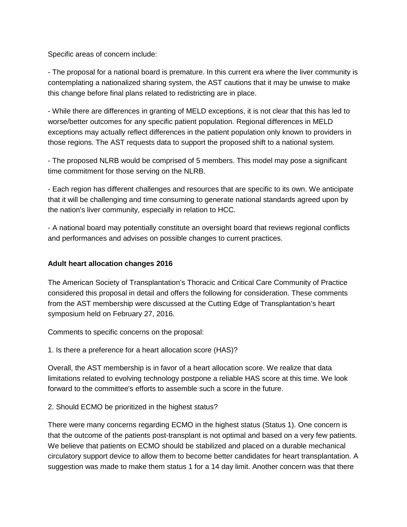Specific areas of concern include:

- The proposal for a national board is premature. In this current era where the liver community is contemplating a nationalized sharing system, the AST cautions that it may be unwise to make this change before final plans related to redistricting are in place.

- While there are differences in granting of MELD exceptions, it is not clear that this has led to worse/better outcomes for any specific patient population. Regional differences in MELD exceptions may actually reflect differences in the patient population only known to providers in those regions. The AST requests data to support the proposed shift to a national system.

- The proposed NLRB would be comprised of 5 members. This model may pose a significant time commitment for those serving on the NLRB.

- Each region has different challenges and resources that are specific to its own. We anticipate that it will be challenging and time consuming to generate national standards agreed upon by the nation's liver community, especially in relation to HCC.

- A national board may potentially constitute an oversight board that reviews regional conflicts and performances and advises on possible changes to current practices.

# **Adult heart allocation changes 2016**

The American Society of Transplantation's Thoracic and Critical Care Community of Practice considered this proposal in detail and offers the following for consideration. These comments from the AST membership were discussed at the Cutting Edge of Transplantation's heart symposium held on February 27, 2016.

Comments to specific concerns on the proposal:

1. Is there a preference for a heart allocation score (HAS)?

Overall, the AST membership is in favor of a heart allocation score. We realize that data limitations related to evolving technology postpone a reliable HAS score at this time. We look forward to the committee's efforts to assemble such a score in the future.

2. Should ECMO be prioritized in the highest status?

There were many concerns regarding ECMO in the highest status (Status 1). One concern is that the outcome of the patients post-transplant is not optimal and based on a very few patients. We believe that patients on ECMO should be stabilized and placed on a durable mechanical circulatory support device to allow them to become better candidates for heart transplantation. A suggestion was made to make them status 1 for a 14 day limit. Another concern was that there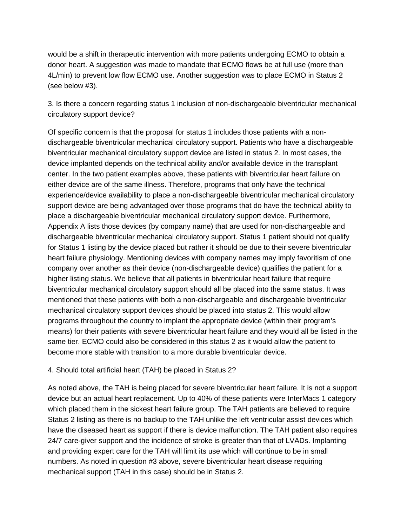would be a shift in therapeutic intervention with more patients undergoing ECMO to obtain a donor heart. A suggestion was made to mandate that ECMO flows be at full use (more than 4L/min) to prevent low flow ECMO use. Another suggestion was to place ECMO in Status 2 (see below #3).

3. Is there a concern regarding status 1 inclusion of non-dischargeable biventricular mechanical circulatory support device?

Of specific concern is that the proposal for status 1 includes those patients with a nondischargeable biventricular mechanical circulatory support. Patients who have a dischargeable biventricular mechanical circulatory support device are listed in status 2. In most cases, the device implanted depends on the technical ability and/or available device in the transplant center. In the two patient examples above, these patients with biventricular heart failure on either device are of the same illness. Therefore, programs that only have the technical experience/device availability to place a non-dischargeable biventricular mechanical circulatory support device are being advantaged over those programs that do have the technical ability to place a dischargeable biventricular mechanical circulatory support device. Furthermore, Appendix A lists those devices (by company name) that are used for non-dischargeable and dischargeable biventricular mechanical circulatory support. Status 1 patient should not qualify for Status 1 listing by the device placed but rather it should be due to their severe biventricular heart failure physiology. Mentioning devices with company names may imply favoritism of one company over another as their device (non-dischargeable device) qualifies the patient for a higher listing status. We believe that all patients in biventricular heart failure that require biventricular mechanical circulatory support should all be placed into the same status. It was mentioned that these patients with both a non-dischargeable and dischargeable biventricular mechanical circulatory support devices should be placed into status 2. This would allow programs throughout the country to implant the appropriate device (within their program's means) for their patients with severe biventricular heart failure and they would all be listed in the same tier. ECMO could also be considered in this status 2 as it would allow the patient to become more stable with transition to a more durable biventricular device.

## 4. Should total artificial heart (TAH) be placed in Status 2?

As noted above, the TAH is being placed for severe biventricular heart failure. It is not a support device but an actual heart replacement. Up to 40% of these patients were InterMacs 1 category which placed them in the sickest heart failure group. The TAH patients are believed to require Status 2 listing as there is no backup to the TAH unlike the left ventricular assist devices which have the diseased heart as support if there is device malfunction. The TAH patient also requires 24/7 care-giver support and the incidence of stroke is greater than that of LVADs. Implanting and providing expert care for the TAH will limit its use which will continue to be in small numbers. As noted in question #3 above, severe biventricular heart disease requiring mechanical support (TAH in this case) should be in Status 2.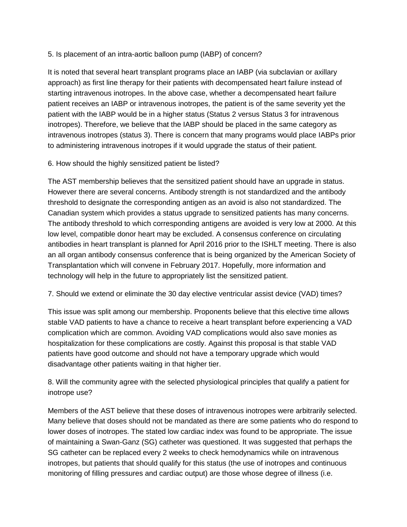# 5. Is placement of an intra-aortic balloon pump (IABP) of concern?

It is noted that several heart transplant programs place an IABP (via subclavian or axillary approach) as first line therapy for their patients with decompensated heart failure instead of starting intravenous inotropes. In the above case, whether a decompensated heart failure patient receives an IABP or intravenous inotropes, the patient is of the same severity yet the patient with the IABP would be in a higher status (Status 2 versus Status 3 for intravenous inotropes). Therefore, we believe that the IABP should be placed in the same category as intravenous inotropes (status 3). There is concern that many programs would place IABPs prior to administering intravenous inotropes if it would upgrade the status of their patient.

6. How should the highly sensitized patient be listed?

The AST membership believes that the sensitized patient should have an upgrade in status. However there are several concerns. Antibody strength is not standardized and the antibody threshold to designate the corresponding antigen as an avoid is also not standardized. The Canadian system which provides a status upgrade to sensitized patients has many concerns. The antibody threshold to which corresponding antigens are avoided is very low at 2000. At this low level, compatible donor heart may be excluded. A consensus conference on circulating antibodies in heart transplant is planned for April 2016 prior to the ISHLT meeting. There is also an all organ antibody consensus conference that is being organized by the American Society of Transplantation which will convene in February 2017. Hopefully, more information and technology will help in the future to appropriately list the sensitized patient.

7. Should we extend or eliminate the 30 day elective ventricular assist device (VAD) times?

This issue was split among our membership. Proponents believe that this elective time allows stable VAD patients to have a chance to receive a heart transplant before experiencing a VAD complication which are common. Avoiding VAD complications would also save monies as hospitalization for these complications are costly. Against this proposal is that stable VAD patients have good outcome and should not have a temporary upgrade which would disadvantage other patients waiting in that higher tier.

8. Will the community agree with the selected physiological principles that qualify a patient for inotrope use?

Members of the AST believe that these doses of intravenous inotropes were arbitrarily selected. Many believe that doses should not be mandated as there are some patients who do respond to lower doses of inotropes. The stated low cardiac index was found to be appropriate. The issue of maintaining a Swan-Ganz (SG) catheter was questioned. It was suggested that perhaps the SG catheter can be replaced every 2 weeks to check hemodynamics while on intravenous inotropes, but patients that should qualify for this status (the use of inotropes and continuous monitoring of filling pressures and cardiac output) are those whose degree of illness (i.e.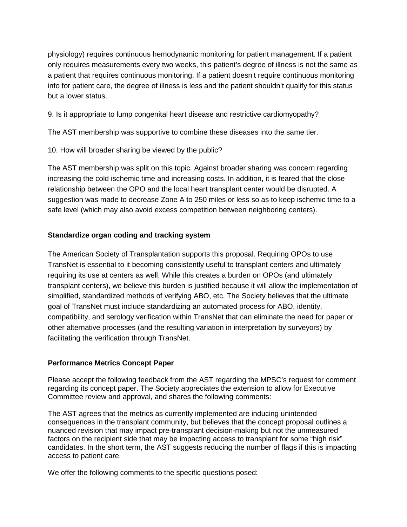physiology) requires continuous hemodynamic monitoring for patient management. If a patient only requires measurements every two weeks, this patient's degree of illness is not the same as a patient that requires continuous monitoring. If a patient doesn't require continuous monitoring info for patient care, the degree of illness is less and the patient shouldn't qualify for this status but a lower status.

9. Is it appropriate to lump congenital heart disease and restrictive cardiomyopathy?

The AST membership was supportive to combine these diseases into the same tier.

10. How will broader sharing be viewed by the public?

The AST membership was split on this topic. Against broader sharing was concern regarding increasing the cold ischemic time and increasing costs. In addition, it is feared that the close relationship between the OPO and the local heart transplant center would be disrupted. A suggestion was made to decrease Zone A to 250 miles or less so as to keep ischemic time to a safe level (which may also avoid excess competition between neighboring centers).

# **Standardize organ coding and tracking system**

The American Society of Transplantation supports this proposal. Requiring OPOs to use TransNet is essential to it becoming consistently useful to transplant centers and ultimately requiring its use at centers as well. While this creates a burden on OPOs (and ultimately transplant centers), we believe this burden is justified because it will allow the implementation of simplified, standardized methods of verifying ABO, etc. The Society believes that the ultimate goal of TransNet must include standardizing an automated process for ABO, identity, compatibility, and serology verification within TransNet that can eliminate the need for paper or other alternative processes (and the resulting variation in interpretation by surveyors) by facilitating the verification through TransNet.

## **Performance Metrics Concept Paper**

Please accept the following feedback from the AST regarding the MPSC's request for comment regarding its concept paper. The Society appreciates the extension to allow for Executive Committee review and approval, and shares the following comments:

The AST agrees that the metrics as currently implemented are inducing unintended consequences in the transplant community, but believes that the concept proposal outlines a nuanced revision that may impact pre-transplant decision-making but not the unmeasured factors on the recipient side that may be impacting access to transplant for some "high risk" candidates. In the short term, the AST suggests reducing the number of flags if this is impacting access to patient care.

We offer the following comments to the specific questions posed: